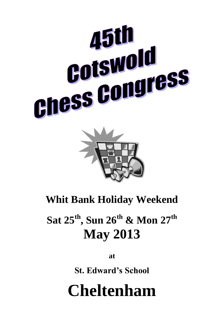



# **Whit Bank Holiday Weekend**

# **Sat 25 th , Sun 26 th & Mon 27th May 2013**

**at**

**St. Edward's School**

# **Cheltenham**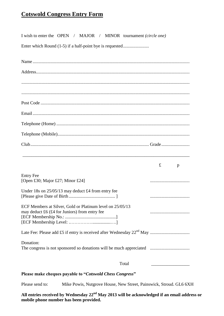### **Cotswold Congress Entry Form**

I wish to enter the OPEN / MAJOR / MINOR tournament *(circle one)*

Enter which Round (1-5) if a half-point bye is requested.........................

|                                                                                                            | £ | p |
|------------------------------------------------------------------------------------------------------------|---|---|
| <b>Entry Fee</b><br>[Open £30; Major £27; Minor £24]                                                       |   |   |
| Under 18s on 25/05/13 may deduct £4 from entry fee                                                         |   |   |
| ECF Members at Silver, Gold or Platinum level on 25/05/13<br>may deduct £6 (£4 for Juniors) from entry fee |   |   |
|                                                                                                            |   |   |
| Donation:                                                                                                  |   |   |
| Total                                                                                                      |   |   |
| Please make cheques payable to "Cotswold Chess Congress"                                                   |   |   |

Please send to: Mike Powis, Nutgrove House, New Street, Painswick, Stroud. GL6 6XH

**All entries received by Wednesday 22nd May 2013 will be acknowledged if an email address or mobile phone number has been provided.**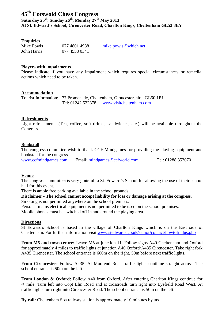### **45 th Cotswold Chess Congress**

**Saturday 25 th , Sunday 26 th, Monday 27th May 2013 At St. Edward's School, Cirencester Road, Charlton Kings, Cheltenham GL53 8EY**

#### **Enquiries**

Mike Powis 077 4801 4988 [mike.powis@which.net](mailto:mike.powis@which.net) John Harris 077 4558 0341

#### **Players with impairments**

Please indicate if you have any impairment which requires special circumstances or remedial actions which need to be taken.

#### **Accommodation**

Tourist Information: 77 Promenade, Cheltenham, Gloucestershire, GL50 1PJ Tel: 01242 522878 [www.visitcheltenham.com](http://www.visitcheltenham.com/)

#### **Refreshments**

Light refreshments (Tea, coffee, soft drinks, sandwiches, etc.) will be available throughout the Congress.

#### **Bookstall**

The congress committee wish to thank CCF Mindgames for providing the playing equipment and bookstall for the congress.

[www.ccfmindgames.com](http://www.ccfmindgames.com/) Email: [mindgames@ccfworld.com](mailto:mindgames@ccfworld.com) Tel: 01288 353070

#### **Venue**

The congress committee is very grateful to St. Edward's School for allowing the use of their school hall for this event.

There is ample free parking available in the school grounds.

**Disclaimer - The school cannot accept liability for loss or damage arising at the congress.**  Smoking is not permitted anywhere on the school premises.

Personal mains electrical equipment is not permitted to be used on the school premises.

Mobile phones must be switched off in and around the playing area.

#### **Directions**

St Edward's School is based in the village of Charlton Kings which is on the East side of Cheltenham. For further information visit [www.stedwards.co.uk/senior/contact/howtofindus.php](http://www.stedwards.co.uk/senior/contact/howtofindus.php)

**From M5 and town centre:** Leave M5 at junction 11. Follow signs A40 Cheltenham and Oxford for approximately 4 miles to traffic lights at junction A40 Oxford/A435 Cirencester. Take right fork A435 Cirencester. The school entrance is 600m on the right, 50m before next traffic lights.

**From Cirencester:** Follow A435. At Moorend Road traffic lights continue straight across. The school entrance is 50m on the left.

**From London & Oxford:** Follow A40 from Oxford. After entering Charlton Kings continue for ¾ mile. Turn left into Copt Elm Road and at crossroads turn right into Lyefield Road West. At traffic lights turn right into Cirencester Road. The school entrance is 50m on the left.

**By rail:** Cheltenham Spa railway station is approximately 10 minutes by taxi.